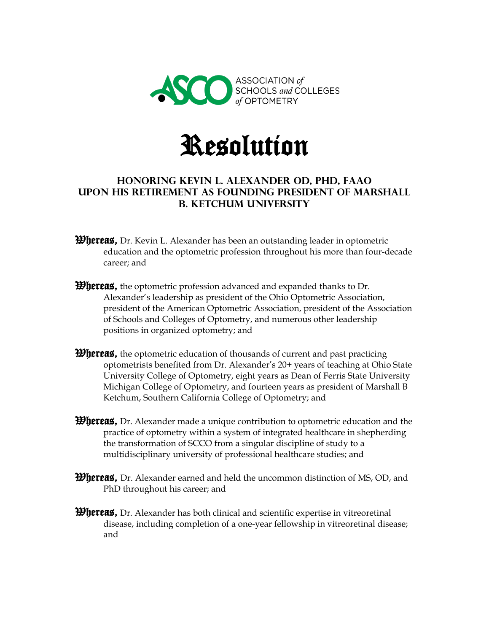



## **HONORING Kevin L. alexander oD, PhD, FAAO upon his retirement as Founding President of Marshall B. Ketchum University**

- **Whereas,** Dr. Kevin L. Alexander has been an outstanding leader in optometric education and the optometric profession throughout his more than four-decade career; and
- **Whereas,** the optometric profession advanced and expanded thanks to Dr. Alexander's leadership as president of the Ohio Optometric Association, president of the American Optometric Association, president of the Association of Schools and Colleges of Optometry, and numerous other leadership positions in organized optometry; and
- *Whereas*, the optometric education of thousands of current and past practicing optometrists benefited from Dr. Alexander's 20+ years of teaching at Ohio State University College of Optometry, eight years as Dean of Ferris State University Michigan College of Optometry, and fourteen years as president of Marshall B Ketchum, Southern California College of Optometry; and
- **Whereas**, Dr. Alexander made a unique contribution to optometric education and the practice of optometry within a system of integrated healthcare in shepherding the transformation of SCCO from a singular discipline of study to a multidisciplinary university of professional healthcare studies; and
- **Whereas,** Dr. Alexander earned and held the uncommon distinction of MS, OD, and PhD throughout his career; and
- **Whereas,** Dr. Alexander has both clinical and scientific expertise in vitreoretinal disease, including completion of a one-year fellowship in vitreoretinal disease; and